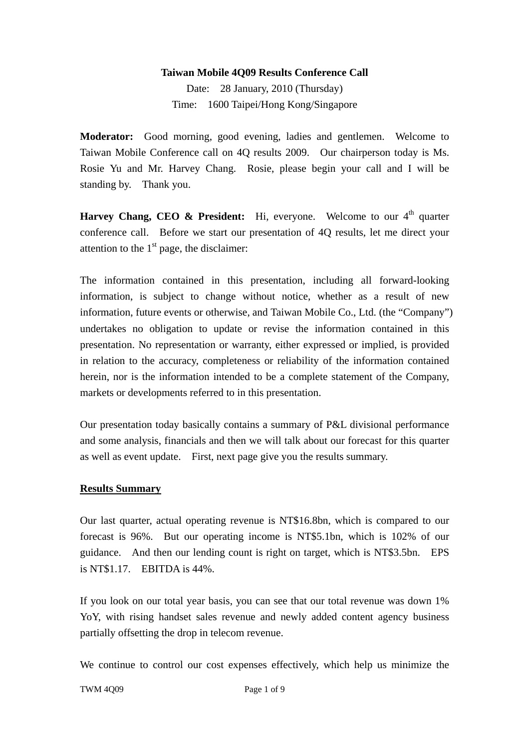#### **Taiwan Mobile 4Q09 Results Conference Call**

Date: 28 January, 2010 (Thursday) Time: 1600 Taipei/Hong Kong/Singapore

**Moderator:** Good morning, good evening, ladies and gentlemen. Welcome to Taiwan Mobile Conference call on 4Q results 2009. Our chairperson today is Ms. Rosie Yu and Mr. Harvey Chang. Rosie, please begin your call and I will be standing by. Thank you.

**Harvey Chang, CEO & President:** Hi, everyone. Welcome to our  $4<sup>th</sup>$  quarter conference call. Before we start our presentation of 4Q results, let me direct your attention to the  $1<sup>st</sup>$  page, the disclaimer:

The information contained in this presentation, including all forward-looking information, is subject to change without notice, whether as a result of new information, future events or otherwise, and Taiwan Mobile Co., Ltd. (the "Company") undertakes no obligation to update or revise the information contained in this presentation. No representation or warranty, either expressed or implied, is provided in relation to the accuracy, completeness or reliability of the information contained herein, nor is the information intended to be a complete statement of the Company, markets or developments referred to in this presentation.

Our presentation today basically contains a summary of P&L divisional performance and some analysis, financials and then we will talk about our forecast for this quarter as well as event update. First, next page give you the results summary.

#### **Results Summary**

Our last quarter, actual operating revenue is NT\$16.8bn, which is compared to our forecast is 96%. But our operating income is NT\$5.1bn, which is 102% of our guidance. And then our lending count is right on target, which is NT\$3.5bn. EPS is NT\$1.17. EBITDA is 44%.

If you look on our total year basis, you can see that our total revenue was down 1% YoY, with rising handset sales revenue and newly added content agency business partially offsetting the drop in telecom revenue.

We continue to control our cost expenses effectively, which help us minimize the

TWM 4009 Page 1 of 9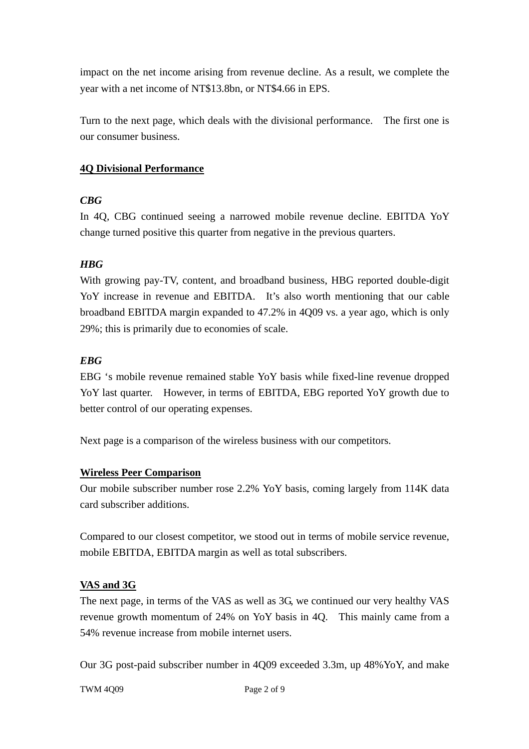impact on the net income arising from revenue decline. As a result, we complete the year with a net income of NT\$13.8bn, or NT\$4.66 in EPS.

Turn to the next page, which deals with the divisional performance. The first one is our consumer business.

## **4Q Divisional Performance**

## *CBG*

In 4Q, CBG continued seeing a narrowed mobile revenue decline. EBITDA YoY change turned positive this quarter from negative in the previous quarters.

# *HBG*

With growing pay-TV, content, and broadband business, HBG reported double-digit YoY increase in revenue and EBITDA. It's also worth mentioning that our cable broadband EBITDA margin expanded to 47.2% in 4Q09 vs. a year ago, which is only 29%; this is primarily due to economies of scale.

## *EBG*

EBG 's mobile revenue remained stable YoY basis while fixed-line revenue dropped YoY last quarter. However, in terms of EBITDA, EBG reported YoY growth due to better control of our operating expenses.

Next page is a comparison of the wireless business with our competitors.

## **Wireless Peer Comparison**

Our mobile subscriber number rose 2.2% YoY basis, coming largely from 114K data card subscriber additions.

Compared to our closest competitor, we stood out in terms of mobile service revenue, mobile EBITDA, EBITDA margin as well as total subscribers.

# **VAS and 3G**

The next page, in terms of the VAS as well as 3G, we continued our very healthy VAS revenue growth momentum of 24% on YoY basis in 4Q. This mainly came from a 54% revenue increase from mobile internet users.

Our 3G post-paid subscriber number in 4Q09 exceeded 3.3m, up 48%YoY, and make

TWM 4009 Page 2 of 9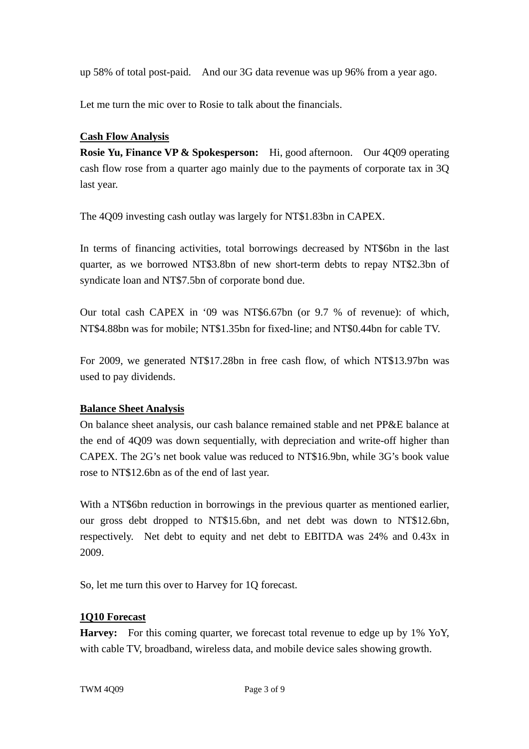up 58% of total post-paid. And our 3G data revenue was up 96% from a year ago.

Let me turn the mic over to Rosie to talk about the financials.

## **Cash Flow Analysis**

**Rosie Yu, Finance VP & Spokesperson:** Hi, good afternoon. Our 4Q09 operating cash flow rose from a quarter ago mainly due to the payments of corporate tax in 3Q last year.

The 4Q09 investing cash outlay was largely for NT\$1.83bn in CAPEX.

In terms of financing activities, total borrowings decreased by NT\$6bn in the last quarter, as we borrowed NT\$3.8bn of new short-term debts to repay NT\$2.3bn of syndicate loan and NT\$7.5bn of corporate bond due.

Our total cash CAPEX in '09 was NT\$6.67bn (or 9.7 % of revenue): of which, NT\$4.88bn was for mobile; NT\$1.35bn for fixed-line; and NT\$0.44bn for cable TV.

For 2009, we generated NT\$17.28bn in free cash flow, of which NT\$13.97bn was used to pay dividends.

## **Balance Sheet Analysis**

On balance sheet analysis, our cash balance remained stable and net PP&E balance at the end of 4Q09 was down sequentially, with depreciation and write-off higher than CAPEX. The 2G's net book value was reduced to NT\$16.9bn, while 3G's book value rose to NT\$12.6bn as of the end of last year.

With a NT\$6bn reduction in borrowings in the previous quarter as mentioned earlier, our gross debt dropped to NT\$15.6bn, and net debt was down to NT\$12.6bn, respectively. Net debt to equity and net debt to EBITDA was 24% and 0.43x in 2009.

So, let me turn this over to Harvey for 1Q forecast.

#### **1Q10 Forecast**

Harvey: For this coming quarter, we forecast total revenue to edge up by 1% YoY, with cable TV, broadband, wireless data, and mobile device sales showing growth.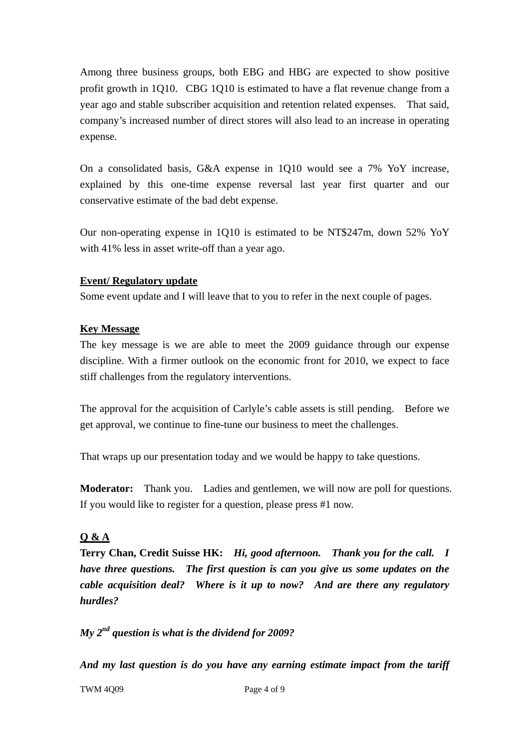Among three business groups, both EBG and HBG are expected to show positive profit growth in 1Q10. CBG 1Q10 is estimated to have a flat revenue change from a year ago and stable subscriber acquisition and retention related expenses. That said, company's increased number of direct stores will also lead to an increase in operating expense.

On a consolidated basis, G&A expense in 1Q10 would see a 7% YoY increase, explained by this one-time expense reversal last year first quarter and our conservative estimate of the bad debt expense.

Our non-operating expense in 1Q10 is estimated to be NT\$247m, down 52% YoY with 41% less in asset write-off than a year ago.

## **Event/ Regulatory update**

Some event update and I will leave that to you to refer in the next couple of pages.

#### **Key Message**

The key message is we are able to meet the 2009 guidance through our expense discipline. With a firmer outlook on the economic front for 2010, we expect to face stiff challenges from the regulatory interventions.

The approval for the acquisition of Carlyle's cable assets is still pending. Before we get approval, we continue to fine-tune our business to meet the challenges.

That wraps up our presentation today and we would be happy to take questions.

**Moderator:** Thank you. Ladies and gentlemen, we will now are poll for questions. If you would like to register for a question, please press #1 now.

# **Q & A**

**Terry Chan, Credit Suisse HK:** *Hi, good afternoon. Thank you for the call. I have three questions. The first question is can you give us some updates on the cable acquisition deal? Where is it up to now? And are there any regulatory hurdles?* 

*My 2nd question is what is the dividend for 2009?* 

*And my last question is do you have any earning estimate impact from the tariff* 

TWM 4009 Page 4 of 9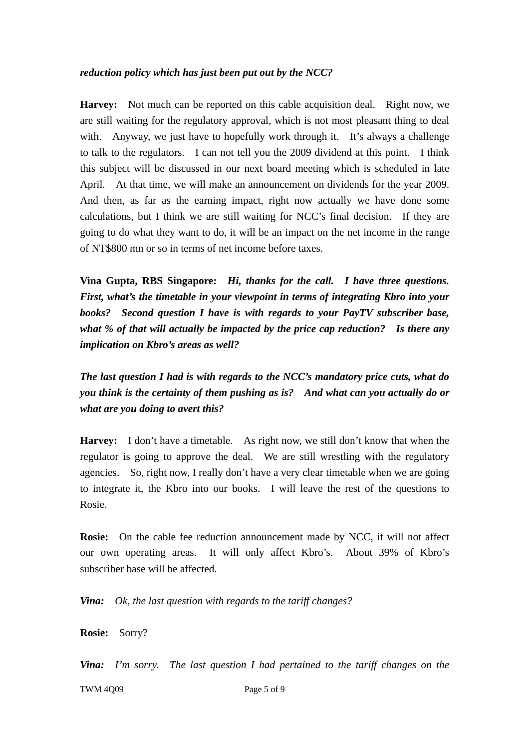#### *reduction policy which has just been put out by the NCC?*

**Harvey:** Not much can be reported on this cable acquisition deal. Right now, we are still waiting for the regulatory approval, which is not most pleasant thing to deal with. Anyway, we just have to hopefully work through it. It's always a challenge to talk to the regulators. I can not tell you the 2009 dividend at this point. I think this subject will be discussed in our next board meeting which is scheduled in late April. At that time, we will make an announcement on dividends for the year 2009. And then, as far as the earning impact, right now actually we have done some calculations, but I think we are still waiting for NCC's final decision. If they are going to do what they want to do, it will be an impact on the net income in the range of NT\$800 mn or so in terms of net income before taxes.

**Vina Gupta, RBS Singapore:** *Hi, thanks for the call. I have three questions. First, what's the timetable in your viewpoint in terms of integrating Kbro into your books? Second question I have is with regards to your PayTV subscriber base, what % of that will actually be impacted by the price cap reduction? Is there any implication on Kbro's areas as well?* 

*The last question I had is with regards to the NCC's mandatory price cuts, what do you think is the certainty of them pushing as is? And what can you actually do or what are you doing to avert this?* 

**Harvey:** I don't have a timetable. As right now, we still don't know that when the regulator is going to approve the deal. We are still wrestling with the regulatory agencies. So, right now, I really don't have a very clear timetable when we are going to integrate it, the Kbro into our books. I will leave the rest of the questions to Rosie.

**Rosie:** On the cable fee reduction announcement made by NCC, it will not affect our own operating areas. It will only affect Kbro's. About 39% of Kbro's subscriber base will be affected.

*Vina: Ok, the last question with regards to the tariff changes?* 

**Rosie:** Sorry?

*Vina: I'm sorry. The last question I had pertained to the tariff changes on the* 

TWM 4009 Page 5 of 9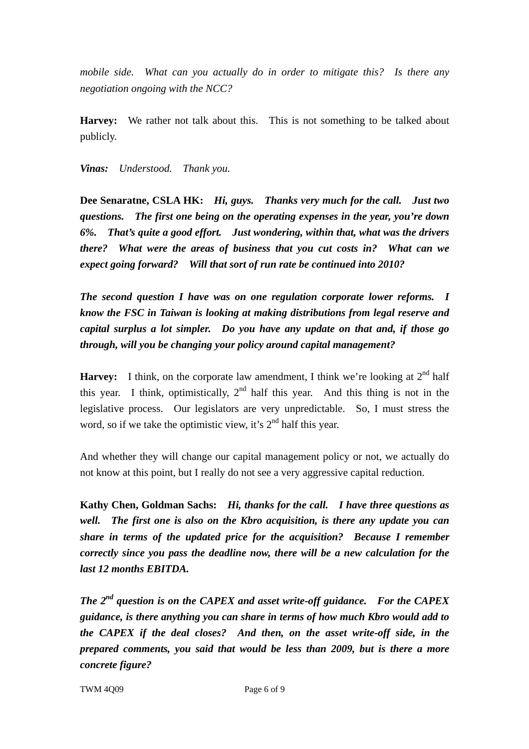*mobile side. What can you actually do in order to mitigate this? Is there any negotiation ongoing with the NCC?* 

**Harvey:** We rather not talk about this. This is not something to be talked about publicly.

*Vinas: Understood. Thank you.* 

**Dee Senaratne, CSLA HK:** *Hi, guys. Thanks very much for the call. Just two questions. The first one being on the operating expenses in the year, you're down 6%. That's quite a good effort. Just wondering, within that, what was the drivers there? What were the areas of business that you cut costs in? What can we expect going forward? Will that sort of run rate be continued into 2010?* 

*The second question I have was on one regulation corporate lower reforms. I know the FSC in Taiwan is looking at making distributions from legal reserve and capital surplus a lot simpler. Do you have any update on that and, if those go through, will you be changing your policy around capital management?* 

**Harvey:** I think, on the corporate law amendment, I think we're looking at  $2^{nd}$  half this year. I think, optimistically,  $2<sup>nd</sup>$  half this year. And this thing is not in the legislative process. Our legislators are very unpredictable. So, I must stress the word, so if we take the optimistic view, it's  $2<sup>nd</sup>$  half this year.

And whether they will change our capital management policy or not, we actually do not know at this point, but I really do not see a very aggressive capital reduction.

**Kathy Chen, Goldman Sachs:** *Hi, thanks for the call. I have three questions as well. The first one is also on the Kbro acquisition, is there any update you can share in terms of the updated price for the acquisition? Because I remember correctly since you pass the deadline now, there will be a new calculation for the last 12 months EBITDA.* 

*The 2nd question is on the CAPEX and asset write-off guidance. For the CAPEX guidance, is there anything you can share in terms of how much Kbro would add to the CAPEX if the deal closes? And then, on the asset write-off side, in the prepared comments, you said that would be less than 2009, but is there a more concrete figure?* 

TWM 4009 Page 6 of 9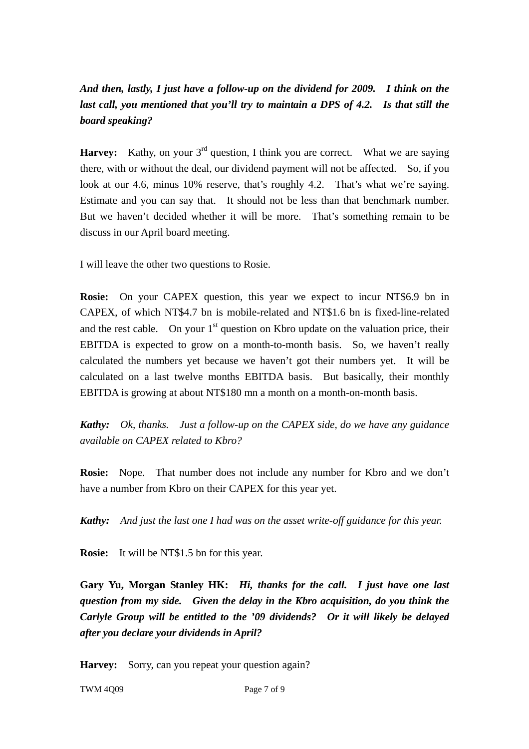# *And then, lastly, I just have a follow-up on the dividend for 2009. I think on the last call, you mentioned that you'll try to maintain a DPS of 4.2. Is that still the board speaking?*

**Harvey:** Kathy, on your 3<sup>rd</sup> question, I think you are correct. What we are saying there, with or without the deal, our dividend payment will not be affected. So, if you look at our 4.6, minus 10% reserve, that's roughly 4.2. That's what we're saying. Estimate and you can say that. It should not be less than that benchmark number. But we haven't decided whether it will be more. That's something remain to be discuss in our April board meeting.

I will leave the other two questions to Rosie.

**Rosie:** On your CAPEX question, this year we expect to incur NT\$6.9 bn in CAPEX, of which NT\$4.7 bn is mobile-related and NT\$1.6 bn is fixed-line-related and the rest cable. On your  $1<sup>st</sup>$  question on Kbro update on the valuation price, their EBITDA is expected to grow on a month-to-month basis. So, we haven't really calculated the numbers yet because we haven't got their numbers yet. It will be calculated on a last twelve months EBITDA basis. But basically, their monthly EBITDA is growing at about NT\$180 mn a month on a month-on-month basis.

*Kathy: Ok, thanks. Just a follow-up on the CAPEX side, do we have any guidance available on CAPEX related to Kbro?*

**Rosie:** Nope. That number does not include any number for Kbro and we don't have a number from Kbro on their CAPEX for this year yet.

*Kathy: And just the last one I had was on the asset write-off guidance for this year.*

**Rosie:** It will be NT\$1.5 bn for this year.

**Gary Yu, Morgan Stanley HK:** *Hi, thanks for the call. I just have one last question from my side. Given the delay in the Kbro acquisition, do you think the Carlyle Group will be entitled to the '09 dividends? Or it will likely be delayed after you declare your dividends in April?*

Harvey: Sorry, can you repeat your question again?

TWM 4009 Page 7 of 9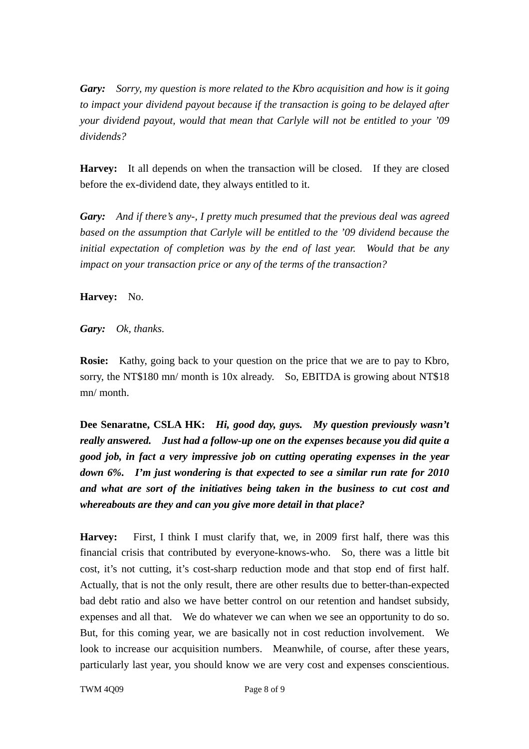*Gary: Sorry, my question is more related to the Kbro acquisition and how is it going to impact your dividend payout because if the transaction is going to be delayed after your dividend payout, would that mean that Carlyle will not be entitled to your '09 dividends?* 

**Harvey:** It all depends on when the transaction will be closed. If they are closed before the ex-dividend date, they always entitled to it.

*Gary: And if there's any-, I pretty much presumed that the previous deal was agreed based on the assumption that Carlyle will be entitled to the '09 dividend because the initial expectation of completion was by the end of last year. Would that be any impact on your transaction price or any of the terms of the transaction?* 

**Harvey:** No.

*Gary: Ok, thanks.* 

**Rosie:** Kathy, going back to your question on the price that we are to pay to Kbro, sorry, the NT\$180 mn/ month is 10x already. So, EBITDA is growing about NT\$18 mn/ month.

**Dee Senaratne, CSLA HK:** *Hi, good day, guys. My question previously wasn't really answered. Just had a follow-up one on the expenses because you did quite a good job, in fact a very impressive job on cutting operating expenses in the year down 6%. I'm just wondering is that expected to see a similar run rate for 2010 and what are sort of the initiatives being taken in the business to cut cost and whereabouts are they and can you give more detail in that place?*

**Harvey:** First, I think I must clarify that, we, in 2009 first half, there was this financial crisis that contributed by everyone-knows-who. So, there was a little bit cost, it's not cutting, it's cost-sharp reduction mode and that stop end of first half. Actually, that is not the only result, there are other results due to better-than-expected bad debt ratio and also we have better control on our retention and handset subsidy, expenses and all that. We do whatever we can when we see an opportunity to do so. But, for this coming year, we are basically not in cost reduction involvement. We look to increase our acquisition numbers. Meanwhile, of course, after these years, particularly last year, you should know we are very cost and expenses conscientious.